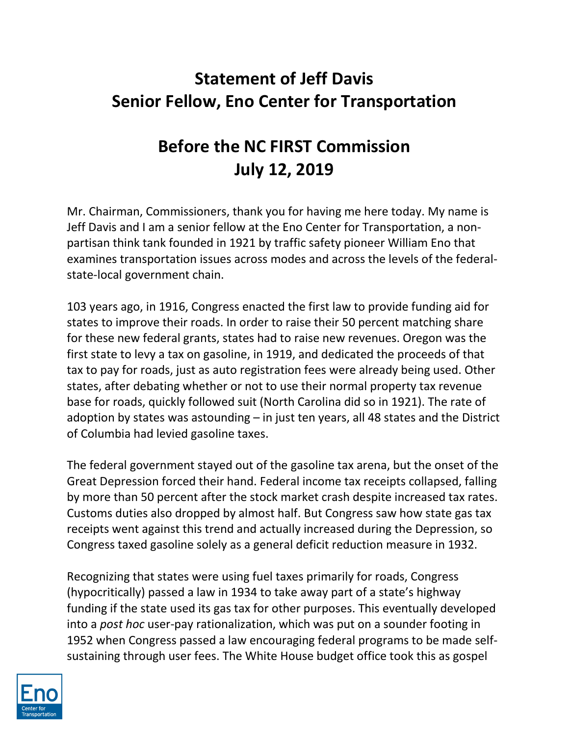## **Statement of Jeff Davis Senior Fellow, Eno Center for Transportation**

## **Before the NC FIRST Commission July 12, 2019**

Mr. Chairman, Commissioners, thank you for having me here today. My name is Jeff Davis and I am a senior fellow at the Eno Center for Transportation, a nonpartisan think tank founded in 1921 by traffic safety pioneer William Eno that examines transportation issues across modes and across the levels of the federalstate-local government chain.

103 years ago, in 1916, Congress enacted the first law to provide funding aid for states to improve their roads. In order to raise their 50 percent matching share for these new federal grants, states had to raise new revenues. Oregon was the first state to levy a tax on gasoline, in 1919, and dedicated the proceeds of that tax to pay for roads, just as auto registration fees were already being used. Other states, after debating whether or not to use their normal property tax revenue base for roads, quickly followed suit (North Carolina did so in 1921). The rate of adoption by states was astounding – in just ten years, all 48 states and the District of Columbia had levied gasoline taxes.

The federal government stayed out of the gasoline tax arena, but the onset of the Great Depression forced their hand. Federal income tax receipts collapsed, falling by more than 50 percent after the stock market crash despite increased tax rates. Customs duties also dropped by almost half. But Congress saw how state gas tax receipts went against this trend and actually increased during the Depression, so Congress taxed gasoline solely as a general deficit reduction measure in 1932.

Recognizing that states were using fuel taxes primarily for roads, Congress (hypocritically) passed a law in 1934 to take away part of a state's highway funding if the state used its gas tax for other purposes. This eventually developed into a *post hoc* user-pay rationalization, which was put on a sounder footing in 1952 when Congress passed a law encouraging federal programs to be made selfsustaining through user fees. The White House budget office took this as gospel

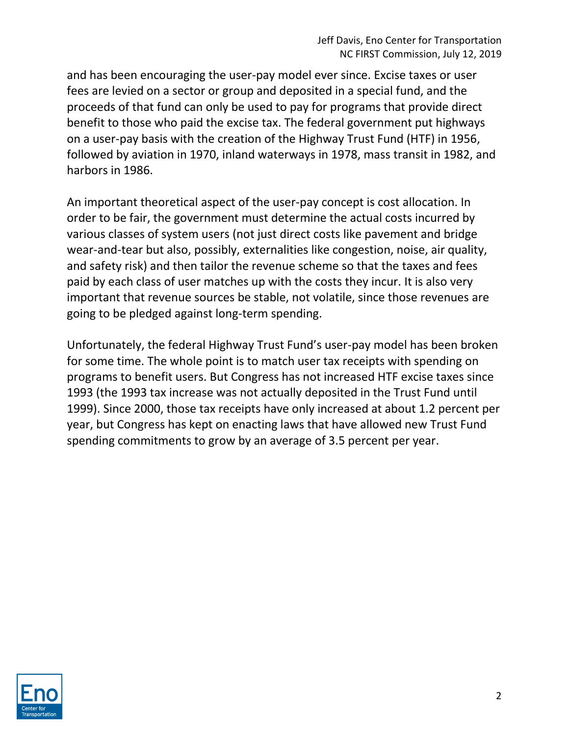and has been encouraging the user-pay model ever since. Excise taxes or user fees are levied on a sector or group and deposited in a special fund, and the proceeds of that fund can only be used to pay for programs that provide direct benefit to those who paid the excise tax. The federal government put highways on a user-pay basis with the creation of the Highway Trust Fund (HTF) in 1956, followed by aviation in 1970, inland waterways in 1978, mass transit in 1982, and harbors in 1986.

An important theoretical aspect of the user-pay concept is cost allocation. In order to be fair, the government must determine the actual costs incurred by various classes of system users (not just direct costs like pavement and bridge wear-and-tear but also, possibly, externalities like congestion, noise, air quality, and safety risk) and then tailor the revenue scheme so that the taxes and fees paid by each class of user matches up with the costs they incur. It is also very important that revenue sources be stable, not volatile, since those revenues are going to be pledged against long-term spending.

Unfortunately, the federal Highway Trust Fund's user-pay model has been broken for some time. The whole point is to match user tax receipts with spending on programs to benefit users. But Congress has not increased HTF excise taxes since 1993 (the 1993 tax increase was not actually deposited in the Trust Fund until 1999). Since 2000, those tax receipts have only increased at about 1.2 percent per year, but Congress has kept on enacting laws that have allowed new Trust Fund spending commitments to grow by an average of 3.5 percent per year.

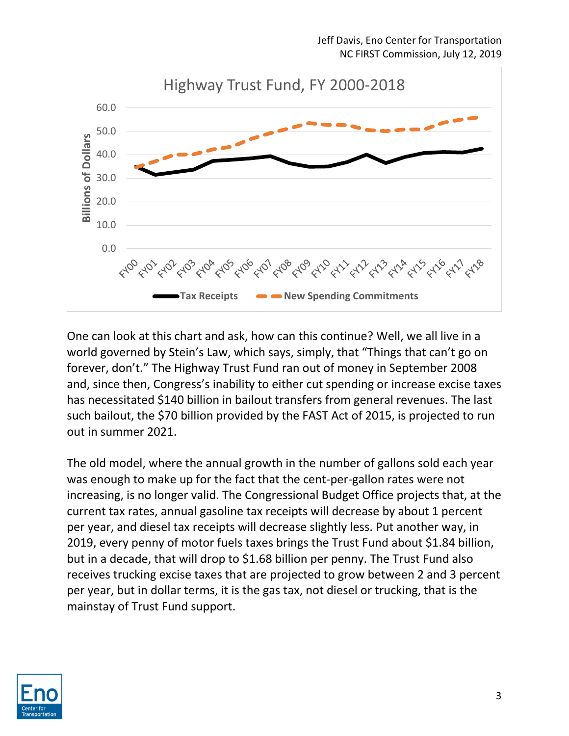

One can look at this chart and ask, how can this continue? Well, we all live in a world governed by Stein's Law, which says, simply, that "Things that can't go on forever, don't." The Highway Trust Fund ran out of money in September 2008 and, since then, Congress's inability to either cut spending or increase excise taxes has necessitated \$140 billion in bailout transfers from general revenues. The last such bailout, the \$70 billion provided by the FAST Act of 2015, is projected to run out in summer 2021.

The old model, where the annual growth in the number of gallons sold each year was enough to make up for the fact that the cent-per-gallon rates were not increasing, is no longer valid. The Congressional Budget Office projects that, at the current tax rates, annual gasoline tax receipts will decrease by about 1 percent per year, and diesel tax receipts will decrease slightly less. Put another way, in 2019, every penny of motor fuels taxes brings the Trust Fund about \$1.84 billion, but in a decade, that will drop to \$1.68 billion per penny. The Trust Fund also receives trucking excise taxes that are projected to grow between 2 and 3 percent per year, but in dollar terms, it is the gas tax, not diesel or trucking, that is the mainstay of Trust Fund support.

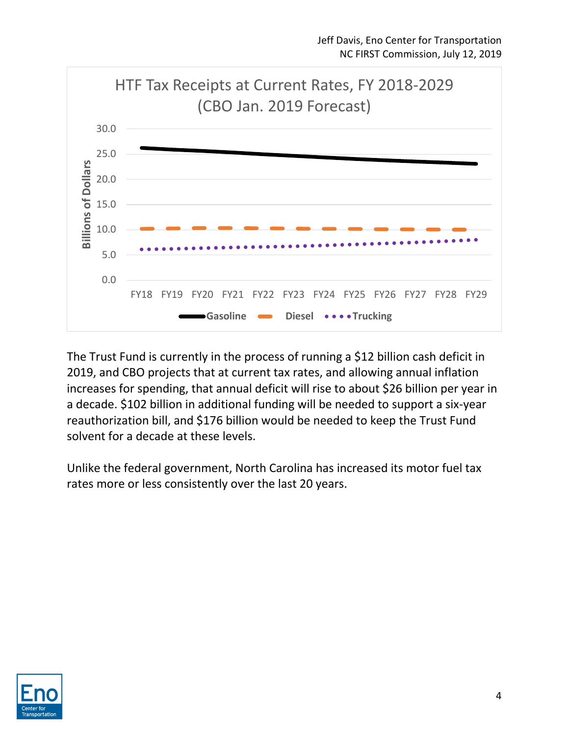

The Trust Fund is currently in the process of running a \$12 billion cash deficit in 2019, and CBO projects that at current tax rates, and allowing annual inflation increases for spending, that annual deficit will rise to about \$26 billion per year in a decade. \$102 billion in additional funding will be needed to support a six-year reauthorization bill, and \$176 billion would be needed to keep the Trust Fund solvent for a decade at these levels.

Unlike the federal government, North Carolina has increased its motor fuel tax rates more or less consistently over the last 20 years.

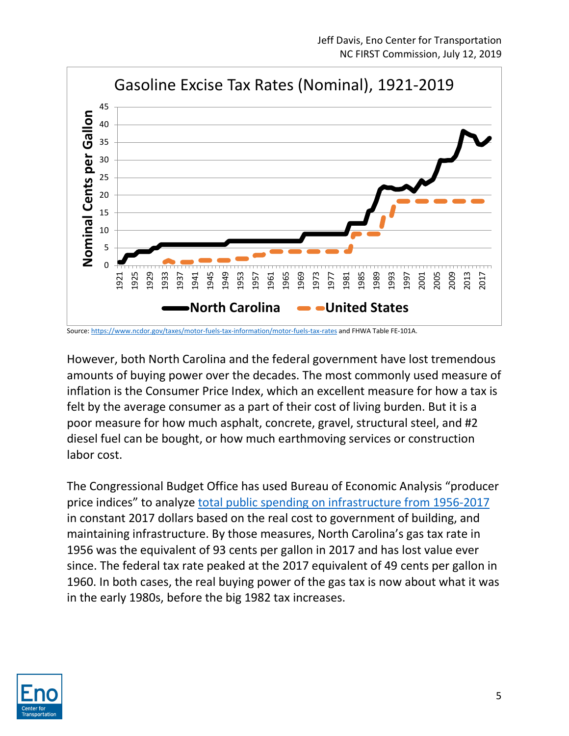

Source[: https://www.ncdor.gov/taxes/motor-fuels-tax-information/motor-fuels-tax-rates](https://www.ncdor.gov/taxes/motor-fuels-tax-information/motor-fuels-tax-rates) and FHWA Table FE-101A.

However, both North Carolina and the federal government have lost tremendous amounts of buying power over the decades. The most commonly used measure of inflation is the Consumer Price Index, which an excellent measure for how a tax is felt by the average consumer as a part of their cost of living burden. But it is a poor measure for how much asphalt, concrete, gravel, structural steel, and #2 diesel fuel can be bought, or how much earthmoving services or construction labor cost.

The Congressional Budget Office has used Bureau of Economic Analysis "producer price indices" to analyze [total public spending on infrastructure from 1956-2017](https://www.cbo.gov/publication/54539) in constant 2017 dollars based on the real cost to government of building, and maintaining infrastructure. By those measures, North Carolina's gas tax rate in 1956 was the equivalent of 93 cents per gallon in 2017 and has lost value ever since. The federal tax rate peaked at the 2017 equivalent of 49 cents per gallon in 1960. In both cases, the real buying power of the gas tax is now about what it was in the early 1980s, before the big 1982 tax increases.

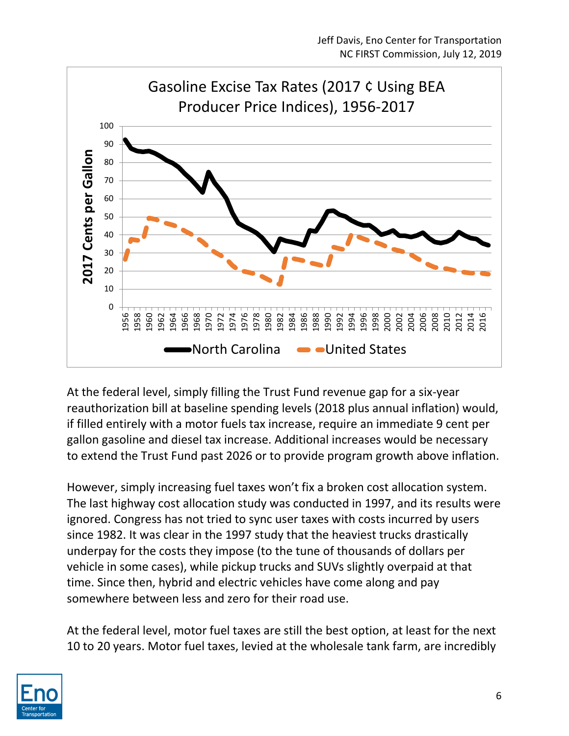

At the federal level, simply filling the Trust Fund revenue gap for a six-year reauthorization bill at baseline spending levels (2018 plus annual inflation) would, if filled entirely with a motor fuels tax increase, require an immediate 9 cent per gallon gasoline and diesel tax increase. Additional increases would be necessary to extend the Trust Fund past 2026 or to provide program growth above inflation.

However, simply increasing fuel taxes won't fix a broken cost allocation system. The last highway cost allocation study was conducted in 1997, and its results were ignored. Congress has not tried to sync user taxes with costs incurred by users since 1982. It was clear in the 1997 study that the heaviest trucks drastically underpay for the costs they impose (to the tune of thousands of dollars per vehicle in some cases), while pickup trucks and SUVs slightly overpaid at that time. Since then, hybrid and electric vehicles have come along and pay somewhere between less and zero for their road use.

At the federal level, motor fuel taxes are still the best option, at least for the next 10 to 20 years. Motor fuel taxes, levied at the wholesale tank farm, are incredibly

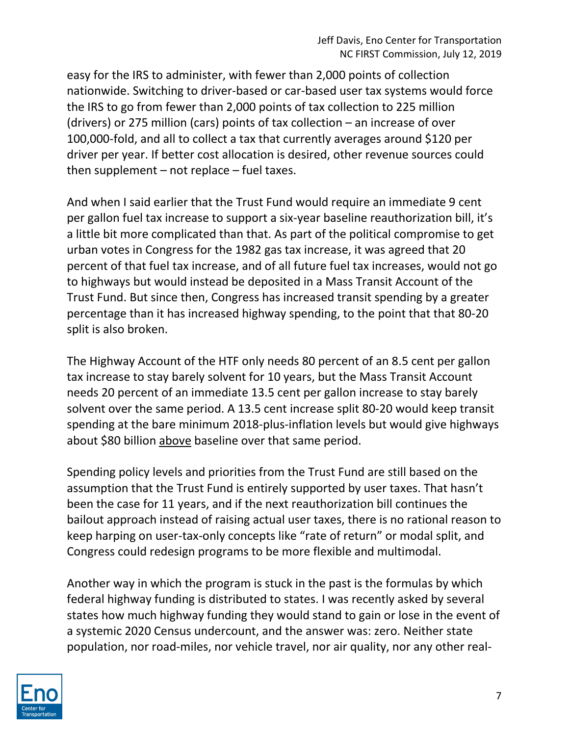easy for the IRS to administer, with fewer than 2,000 points of collection nationwide. Switching to driver-based or car-based user tax systems would force the IRS to go from fewer than 2,000 points of tax collection to 225 million (drivers) or 275 million (cars) points of tax collection – an increase of over 100,000-fold, and all to collect a tax that currently averages around \$120 per driver per year. If better cost allocation is desired, other revenue sources could then supplement – not replace – fuel taxes.

And when I said earlier that the Trust Fund would require an immediate 9 cent per gallon fuel tax increase to support a six-year baseline reauthorization bill, it's a little bit more complicated than that. As part of the political compromise to get urban votes in Congress for the 1982 gas tax increase, it was agreed that 20 percent of that fuel tax increase, and of all future fuel tax increases, would not go to highways but would instead be deposited in a Mass Transit Account of the Trust Fund. But since then, Congress has increased transit spending by a greater percentage than it has increased highway spending, to the point that that 80-20 split is also broken.

The Highway Account of the HTF only needs 80 percent of an 8.5 cent per gallon tax increase to stay barely solvent for 10 years, but the Mass Transit Account needs 20 percent of an immediate 13.5 cent per gallon increase to stay barely solvent over the same period. A 13.5 cent increase split 80-20 would keep transit spending at the bare minimum 2018-plus-inflation levels but would give highways about \$80 billion above baseline over that same period.

Spending policy levels and priorities from the Trust Fund are still based on the assumption that the Trust Fund is entirely supported by user taxes. That hasn't been the case for 11 years, and if the next reauthorization bill continues the bailout approach instead of raising actual user taxes, there is no rational reason to keep harping on user-tax-only concepts like "rate of return" or modal split, and Congress could redesign programs to be more flexible and multimodal.

Another way in which the program is stuck in the past is the formulas by which federal highway funding is distributed to states. I was recently asked by several states how much highway funding they would stand to gain or lose in the event of a systemic 2020 Census undercount, and the answer was: zero. Neither state population, nor road-miles, nor vehicle travel, nor air quality, nor any other real-

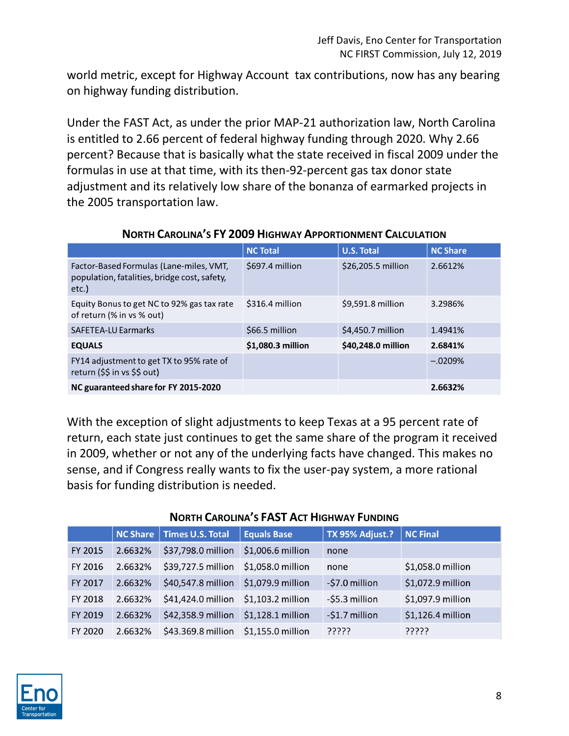world metric, except for Highway Account tax contributions, now has any bearing on highway funding distribution.

Under the FAST Act, as under the prior MAP-21 authorization law, North Carolina is entitled to 2.66 percent of federal highway funding through 2020. Why 2.66 percent? Because that is basically what the state received in fiscal 2009 under the formulas in use at that time, with its then-92-percent gas tax donor state adjustment and its relatively low share of the bonanza of earmarked projects in the 2005 transportation law.

|                                                                                                     | <b>NC Total</b>   | <b>U.S. Total</b>  | <b>NC Share</b> |
|-----------------------------------------------------------------------------------------------------|-------------------|--------------------|-----------------|
| Factor-Based Formulas (Lane-miles, VMT,<br>population, fatalities, bridge cost, safety,<br>$etc.$ ) | \$697.4 million   | \$26,205.5 million | 2.6612%         |
| Equity Bonus to get NC to 92% gas tax rate<br>of return (% in vs % out)                             | \$316.4 million   | \$9,591.8 million  | 3.2986%         |
| <b>SAFETEA-LU Earmarks</b>                                                                          | \$66.5 million    | \$4,450.7 million  | 1.4941%         |
| <b>EQUALS</b>                                                                                       | \$1,080.3 million | \$40,248.0 million | 2.6841%         |
| FY14 adjustment to get TX to 95% rate of<br>return (\$\$ in vs \$\$ out)                            |                   |                    | $-.0209%$       |
| NC guaranteed share for FY 2015-2020                                                                |                   |                    | 2.6632%         |

## **NORTH CAROLINA'S FY 2009 HIGHWAY APPORTIONMENT CALCULATION**

With the exception of slight adjustments to keep Texas at a 95 percent rate of return, each state just continues to get the same share of the program it received in 2009, whether or not any of the underlying facts have changed. This makes no sense, and if Congress really wants to fix the user-pay system, a more rational basis for funding distribution is needed.

|         | <b>NC Share</b> | <b>Times U.S. Total</b> | <b>Equals Base</b> | TX 95% Adjust.? | <b>NC Final</b>   |
|---------|-----------------|-------------------------|--------------------|-----------------|-------------------|
| FY 2015 | 2.6632%         | \$37,798.0 million      | \$1,006.6 million  | none            |                   |
| FY 2016 | 2.6632%         | \$39,727.5 million      | \$1,058.0 million  | none            | \$1,058.0 million |
| FY 2017 | 2.6632%         | \$40,547.8 million      | \$1,079.9 million  | -\$7.0 million  | \$1,072.9 million |
| FY 2018 | 2.6632%         | \$41,424.0 million      | \$1,103.2 million  | -\$5.3 million  | \$1,097.9 million |
| FY 2019 | 2.6632%         | \$42,358.9 million      | \$1,128.1 million  | -\$1.7 million  | \$1,126.4 million |
| FY 2020 | 2.6632%         | \$43.369.8 million      | \$1,155.0 million  | ?????           | ?????             |

## **NORTH CAROLINA'S FAST ACT HIGHWAY FUNDING**